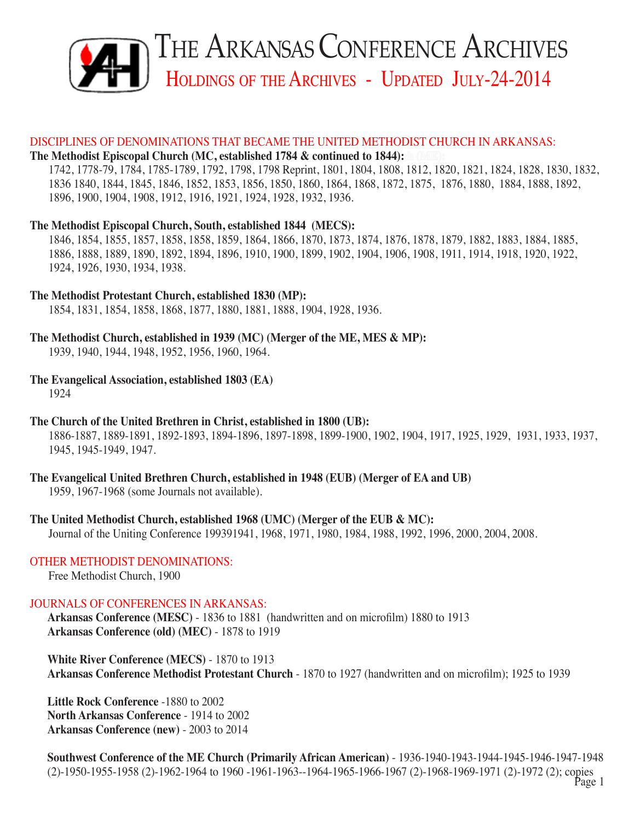

#### DISCIPLINES OF DENOMINATIONS THAT BECAME THE UNITED METHODIST CHURCH IN ARKANSAS:

#### **The Methodist Episcopal Church (MC, established 1784 & continued to 1844):**

1742, 1778-79, 1784, 1785-1789, 1792, 1798, 1798 Reprint, 1801, 1804, 1808, 1812, 1820, 1821, 1824, 1828, 1830, 1832, 1836 1840, 1844, 1845, 1846, 1852, 1853, 1856, 1850, 1860, 1864, 1868, 1872, 1875, 1876, 1880, 1884, 1888, 1892, 1896, 1900, 1904, 1908, 1912, 1916, 1921, 1924, 1928, 1932, 1936.

#### **The Methodist Episcopal Church, South, established 1844 (MECS):**

1846, 1854, 1855, 1857, 1858, 1858, 1859, 1864, 1866, 1870, 1873, 1874, 1876, 1878, 1879, 1882, 1883, 1884, 1885, 1886, 1888, 1889, 1890, 1892, 1894, 1896, 1910, 1900, 1899, 1902, 1904, 1906, 1908, 1911, 1914, 1918, 1920, 1922, 1924, 1926, 1930, 1934, 1938.

#### **The Methodist Protestant Church, established 1830 (MP):**

1854, 1831, 1854, 1858, 1868, 1877, 1880, 1881, 1888, 1904, 1928, 1936.

## **The Methodist Church, established in 1939 (MC) (Merger of the ME, MES & MP):**

1939, 1940, 1944, 1948, 1952, 1956, 1960, 1964.

#### **The Evangelical Association, established 1803 (EA)**

1924

## **The Church of the United Brethren in Christ, established in 1800 (UB):**

1886-1887, 1889-1891, 1892-1893, 1894-1896, 1897-1898, 1899-1900, 1902, 1904, 1917, 1925, 1929, 1931, 1933, 1937, 1945, 1945-1949, 1947.

## **The Evangelical United Brethren Church, established in 1948 (EUB) (Merger of EA and UB)**

1959, 1967-1968 (some Journals not available).

## **The United Methodist Church, established 1968 (UMC) (Merger of the EUB & MC):**

Journal of the Uniting Conference 199391941, 1968, 1971, 1980, 1984, 1988, 1992, 1996, 2000, 2004, 2008.

## OTHER METHODIST DENOMINATIONS:

Free Methodist Church, 1900

## JOURNALS OF CONFERENCES IN ARKANSAS:

**Arkansas Conference (MESC)** - 1836 to 1881 (handwritten and on microfilm) 1880 to 1913 **Arkansas Conference (old) (MEC)** - 1878 to 1919

**White River Conference (MECS)** - 1870 to 1913 **Arkansas Conference Methodist Protestant Church** - 1870 to 1927 (handwritten and on microfilm); 1925 to 1939

**Little Rock Conference** -1880 to 2002 **North Arkansas Conference** - 1914 to 2002 **Arkansas Conference (new)** - 2003 to 2014

**Southwest Conference of the ME Church (Primarily African American)** - 1936-1940-1943-1944-1945-1946-1947-1948 (2)-1950-1955-1958 (2)-1962-1964 to 1960 -1961-1963--1964-1965-1966-1967 (2)-1968-1969-1971 (2)-1972 (2); copies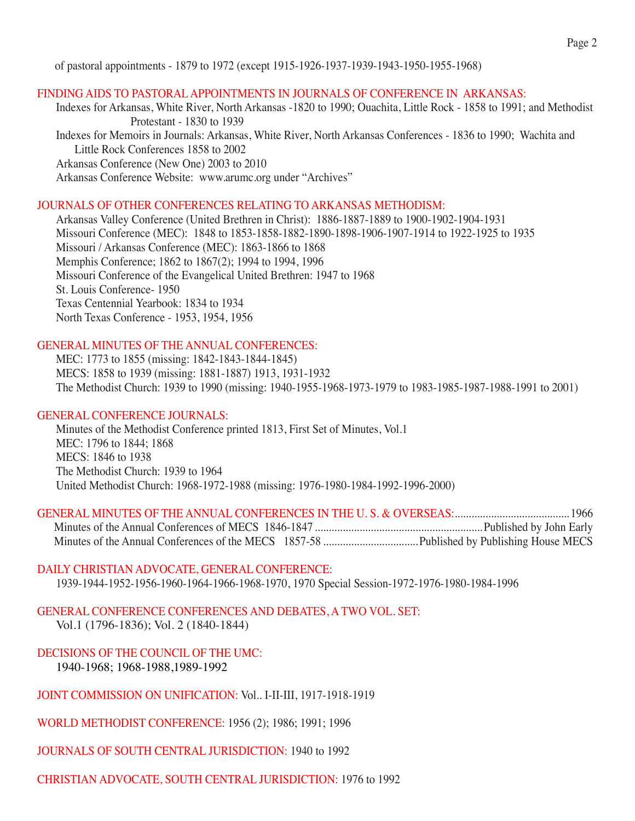of pastoral appointments - 1879 to 1972 (except 1915-1926-1937-1939-1943-1950-1955-1968)

#### Finding Aids to Pastoral Appointments in Journals of Conference in Arkansas:

Indexes for Arkansas, White River, North Arkansas -1820 to 1990; Ouachita, Little Rock - 1858 to 1991; and Methodist Protestant - 1830 to 1939 Indexes for Memoirs in Journals: Arkansas, White River, North Arkansas Conferences - 1836 to 1990; Wachita and Little Rock Conferences 1858 to 2002 Arkansas Conference (New One) 2003 to 2010 Arkansas Conference Website: www.arumc.org under "Archives"

## JOURNALS OF OTHER CONFERENCES RELATING TO ARKANSAS METHODISM:

Arkansas Valley Conference (United Brethren in Christ): 1886-1887-1889 to 1900-1902-1904-1931 Missouri Conference (MEC): 1848 to 1853-1858-1882-1890-1898-1906-1907-1914 to 1922-1925 to 1935 Missouri / Arkansas Conference (MEC): 1863-1866 to 1868 Memphis Conference; 1862 to 1867(2); 1994 to 1994, 1996 Missouri Conference of the Evangelical United Brethren: 1947 to 1968 St. Louis Conference- 1950 Texas Centennial Yearbook: 1834 to 1934 North Texas Conference - 1953, 1954, 1956

## GENERAL MINUTES OF THE ANNUAL CONFERENCES:

 MEC: 1773 to 1855 (missing: 1842-1843-1844-1845) MECS: 1858 to 1939 (missing: 1881-1887) 1913, 1931-1932 The Methodist Church: 1939 to 1990 (missing: 1940-1955-1968-1973-1979 to 1983-1985-1987-1988-1991 to 2001)

## GENERAL CONFERENCE JOURNALS:

 Minutes of the Methodist Conference printed 1813, First Set of Minutes, Vol.1 MEC: 1796 to 1844; 1868 MECS: 1846 to 1938 The Methodist Church: 1939 to 1964 United Methodist Church: 1968-1972-1988 (missing: 1976-1980-1984-1992-1996-2000)

#### DAILY CHRISTIAN ADVOCATE, GENERAL CONFERENCE:

1939-1944-1952-1956-1960-1964-1966-1968-1970, 1970 Special Session-1972-1976-1980-1984-1996

General Conference Conferences and Debates, A Two vol. Set: Vol.1 (1796-1836); Vol. 2 (1840-1844)

DECISIONS OF THE COUNCIL OF THE UMC: 1940-1968; 1968-1988,1989-1992

JOINT COMMISSION ON UNIFICATION: Vol.. I-II-III, 1917-1918-1919

WORLD METHODIST CONFERENCE: 1956 (2); 1986; 1991; 1996

JOURNALS OF SOUTH CENTRAL JURISDICTION: 1940 to 1992

CHRISTIAN ADVOCATE, SOUTH CENTRAL JURISDICTION: 1976 to 1992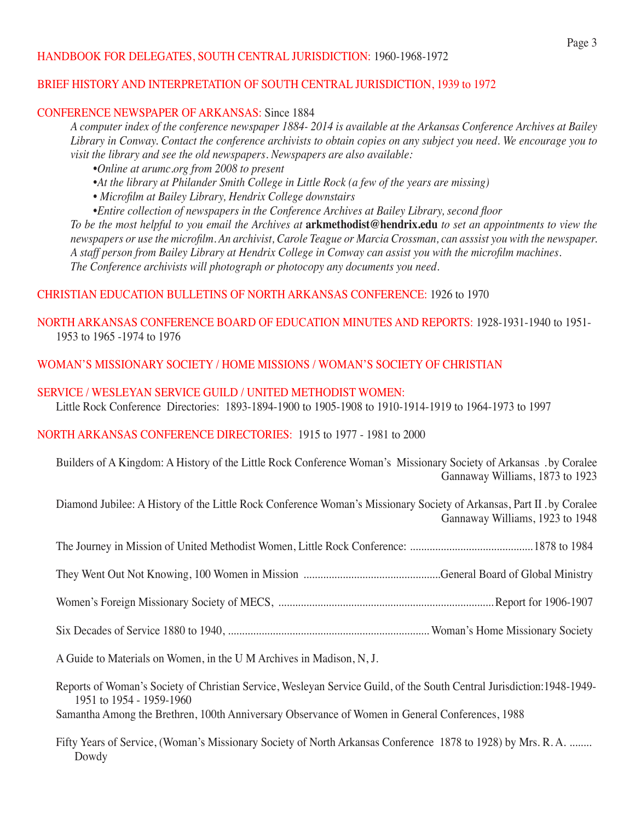## HANDBOOK FOR DELEGATES, SOUTH CENTRAL JURISDICTION: 1960-1968-1972

## BRIEF HISTORY AND INTERPRETATION OF SOUTH CENTRAL JURISDICTION, 1939 to 1972

## CONFERENCE NEWSPAPER OF ARKANSAS: Since 1884

*A computer index of the conference newspaper 1884- 2014 is available at the Arkansas Conference Archives at Bailey Library in Conway. Contact the conference archivists to obtain copies on any subject you need. We encourage you to visit the library and see the old newspapers. Newspapers are also available:*

- *•Online at arumc.org from 2008 to present*
- *•At the library at Philander Smith College in Little Rock (a few of the years are missing)*
- *• Microfilm at Bailey Library, Hendrix College downstairs*
- *•Entire collection of newspapers in the Conference Archives at Bailey Library, second floor*

*To be the most helpful to you email the Archives at* **arkmethodist@hendrix.edu** *to set an appointments to view the*  newspapers or use the microfilm. An archivist, Carole Teague or Marcia Crossman, can asssist you with the newspaper. A staff person from Bailey Library at Hendrix College in Conway can assist you with the microfilm machines. *The Conference archivists will photograph or photocopy any documents you need.* 

## CHRISTIAN EDUCATION BULLETINS OF NORTH ARKANSAS CONFERENCE: 1926 to 1970

## NORTH ARKANSAS CONFERENCE BOARD OF EDUCATION MINUTES AND REPORTS: 1928-1931-1940 to 1951- 1953 to 1965 -1974 to 1976

## WOMAN'S MISSIONARY SOCIETY / HOME MISSIONS / WOMAN'S SOCIETY OF CHRISTIAN

## SERVICE / WESLEYAN SERVICE GUILD / UNITED METHODIST WOMEN:

Little Rock Conference Directories: 1893-1894-1900 to 1905-1908 to 1910-1914-1919 to 1964-1973 to 1997

## North Arkansas Conference Directories: 1915 to 1977 - 1981 to 2000

 Builders of A Kingdom: A History of the Little Rock Conference Woman's Missionary Society of Arkansas . by Coralee Gannaway Williams, 1873 to 1923

 Diamond Jubilee: A History of the Little Rock Conference Woman's Missionary Society of Arkansas, Part II . by Coralee Gannaway Williams, 1923 to 1948

A Guide to Materials on Women, in the U M Archives in Madison, N, J.

 Reports of Woman's Society of Christian Service, Wesleyan Service Guild, of the South Central Jurisdiction:1948-1949- 1951 to 1954 - 1959-1960

Samantha Among the Brethren, 100th Anniversary Observance of Women in General Conferences, 1988

Fifty Years of Service, (Woman's Missionary Society of North Arkansas Conference 1878 to 1928) by Mrs. R. A. ........ Dowdy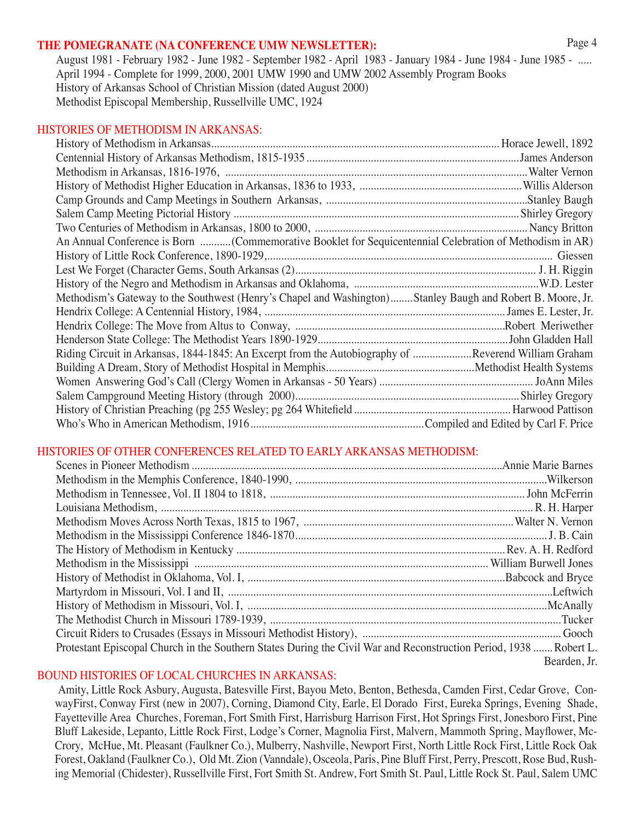#### **The Pomegranate (NA Conference UMW newsletter):**

August 1981 - February 1982 - June 1982 - September 1982 - April 1983 - January 1984 - June 1984 - June 1985 - ..... April 1994 - Complete for 1999, 2000, 2001 UMW 1990 and UMW 2002 Assembly Program Books History of Arkansas School of Christian Mission (dated August 2000) Methodist Episcopal Membership, Russellville UMC, 1924

#### HISTORIES OF METHODISM IN ARKANSAS:

| An Annual Conference is Born (Commemorative Booklet for Sequicentennial Celebration of Methodism in AR)    |  |
|------------------------------------------------------------------------------------------------------------|--|
|                                                                                                            |  |
|                                                                                                            |  |
|                                                                                                            |  |
| Methodism's Gateway to the Southwest (Henry's Chapel and Washington)Stanley Baugh and Robert B. Moore, Jr. |  |
|                                                                                                            |  |
|                                                                                                            |  |
|                                                                                                            |  |
| Riding Circuit in Arkansas, 1844-1845: An Excerpt from the Autobiography of Reverend William Graham        |  |
|                                                                                                            |  |
|                                                                                                            |  |
|                                                                                                            |  |
|                                                                                                            |  |
|                                                                                                            |  |

## HISTORIES OF OTHER CONFERENCES RELATED TO EARLY ARKANSAS METHODISM:

| Protestant Episcopal Church in the Southern States During the Civil War and Reconstruction Period, 1938 Robert L. |              |
|-------------------------------------------------------------------------------------------------------------------|--------------|
|                                                                                                                   | Bearden, Jr. |
|                                                                                                                   |              |

## BOUND HISTORIES OF LOCAL CHURCHES IN ARKANSAS:

Amity, Little Rock Asbury, Augusta, Batesville First, Bayou Meto, Benton, Bethesda, Camden First, Cedar Grove, ConwayFirst, Conway First (new in 2007), Corning, Diamond City, Earle, El Dorado First, Eureka Springs, Evening Shade, Fayetteville Area Churches, Foreman, Fort Smith First, Harrisburg Harrison First, Hot Springs First, Jonesboro First, Pine Bluff Lakeside, Lepanto, Little Rock First, Lodge's Corner, Magnolia First, Malvern, Mammoth Spring, Mayflower, Mc-Crory, McHue, Mt. Pleasant (Faulkner Co.), Mulberry, Nashville, Newport First, North Little Rock First, Little Rock Oak Forest, Oakland (Faulkner Co.), Old Mt. Zion (Vanndale), Osceola, Paris, Pine Bluff First, Perry, Prescott, Rose Bud, Rushing Memorial (Chidester), Russellville First, Fort Smith St. Andrew, Fort Smith St. Paul, Little Rock St. Paul, Salem UMC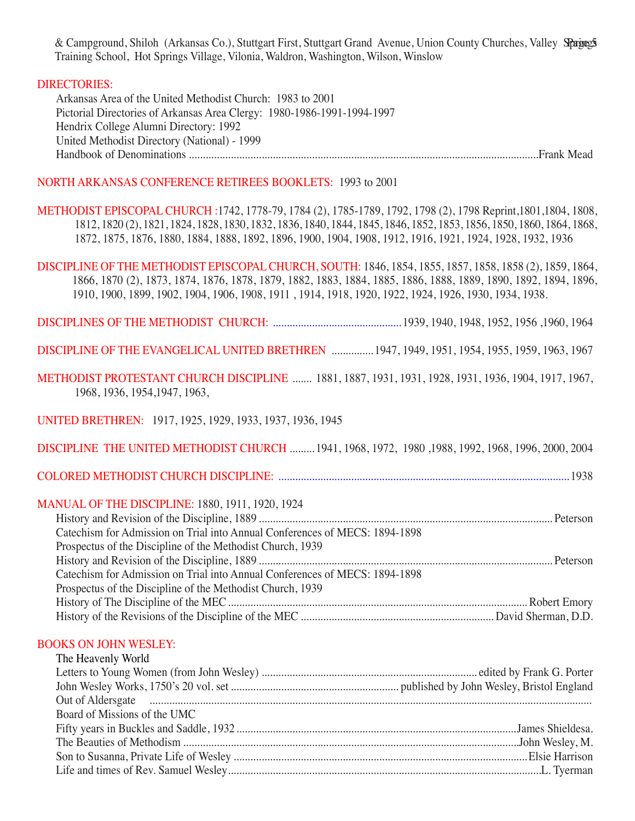& Campground, Shiloh (Arkansas Co.), Stuttgart First, Stuttgart Grand Avenue, Union County Churches, Valley Spagegs Training School, Hot Springs Village, Vilonia, Waldron, Washington, Wilson, Winslow

## DIRECTORIES:

 Arkansas Area of the United Methodist Church: 1983 to 2001 Pictorial Directories of Arkansas Area Clergy: 1980-1986-1991-1994-1997 Hendrix College Alumni Directory: 1992 United Methodist Directory (National) - 1999 Handbook of Denominations .............................................................................................................................Frank Mead

## NORTH ARKANSAS CONFERENCE RETIREES BOOKLETS: 1993 to 2001

Methodist Episcopal Church :1742, 1778-79, 1784 (2), 1785-1789, 1792, 1798 (2), 1798 Reprint,1801,1804, 1808, 1812, 1820 (2), 1821, 1824, 1828, 1830, 1832, 1836, 1840, 1844, 1845, 1846, 1852, 1853, 1856, 1850, 1860, 1864, 1868, 1872, 1875, 1876, 1880, 1884, 1888, 1892, 1896, 1900, 1904, 1908, 1912, 1916, 1921, 1924, 1928, 1932, 1936

Discipline of the Methodist Episcopal Church, South: 1846, 1854, 1855, 1857, 1858, 1858 (2), 1859, 1864, 1866, 1870 (2), 1873, 1874, 1876, 1878, 1879, 1882, 1883, 1884, 1885, 1886, 1888, 1889, 1890, 1892, 1894, 1896, 1910, 1900, 1899, 1902, 1904, 1906, 1908, 1911 , 1914, 1918, 1920, 1922, 1924, 1926, 1930, 1934, 1938.

Disciplines OF the methodist church: .............................................. 1939, 1940, 1948, 1952, 1956 ,1960, 1964

Discipline of the Evangelical United Brethren ............... 1947, 1949, 1951, 1954, 1955, 1959, 1963, 1967

Methodist Protestant Church Discipline ....... 1881, 1887, 1931, 1931, 1928, 1931, 1936, 1904, 1917, 1967, 1968, 1936, 1954,1947, 1963,

United Brethren: 1917, 1925, 1929, 1933, 1937, 1936, 1945

Discipline The United Methodist Church ......... 1941, 1968, 1972, 1980 ,1988, 1992, 1968, 1996, 2000, 2004

Colored Methodist Church Discipline: ........................................................................................................ 1938

## Manual of the Discipline: 1880, 1911, 1920, 1924

| Catechism for Admission on Trial into Annual Conferences of MECS: 1894-1898 |  |
|-----------------------------------------------------------------------------|--|
| Prospectus of the Discipline of the Methodist Church, 1939                  |  |
|                                                                             |  |
| Catechism for Admission on Trial into Annual Conferences of MECS: 1894-1898 |  |
| Prospectus of the Discipline of the Methodist Church, 1939                  |  |
|                                                                             |  |
|                                                                             |  |

#### BOOKS ON JOHN WESLEY:

| The Heavenly World                                                                                                                                                                                      |  |
|---------------------------------------------------------------------------------------------------------------------------------------------------------------------------------------------------------|--|
|                                                                                                                                                                                                         |  |
|                                                                                                                                                                                                         |  |
| Out of Aldersgate <i>machinesimum communication</i> and the communication of Aldersgate and the communication of Aldersgate and the communication of the communication of the communication of $\alpha$ |  |
| Board of Missions of the UMC                                                                                                                                                                            |  |
|                                                                                                                                                                                                         |  |
|                                                                                                                                                                                                         |  |
|                                                                                                                                                                                                         |  |
|                                                                                                                                                                                                         |  |
|                                                                                                                                                                                                         |  |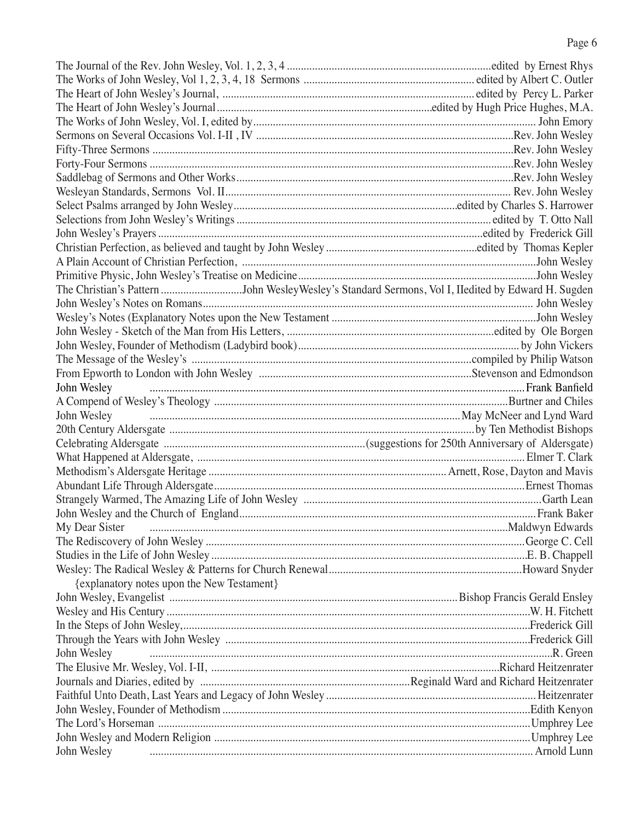| The Christian's Pattern John WesleyWesley's Standard Sermons, Vol I, IIedited by Edward H. Sugden |  |
|---------------------------------------------------------------------------------------------------|--|
|                                                                                                   |  |
|                                                                                                   |  |
|                                                                                                   |  |
|                                                                                                   |  |
|                                                                                                   |  |
|                                                                                                   |  |
| John Wesley                                                                                       |  |
|                                                                                                   |  |
| John Wesley <b>Example 20</b> 2014 Ward U.S. and Lynd Ward                                        |  |
|                                                                                                   |  |
|                                                                                                   |  |
|                                                                                                   |  |
|                                                                                                   |  |
|                                                                                                   |  |
|                                                                                                   |  |
|                                                                                                   |  |
| My Dear Sister                                                                                    |  |
|                                                                                                   |  |
|                                                                                                   |  |
|                                                                                                   |  |
|                                                                                                   |  |
| {explanatory notes upon the New Testament}                                                        |  |
|                                                                                                   |  |
|                                                                                                   |  |
|                                                                                                   |  |
|                                                                                                   |  |
| John Wesley                                                                                       |  |
|                                                                                                   |  |
|                                                                                                   |  |
|                                                                                                   |  |
|                                                                                                   |  |
|                                                                                                   |  |
|                                                                                                   |  |
| John Wesley                                                                                       |  |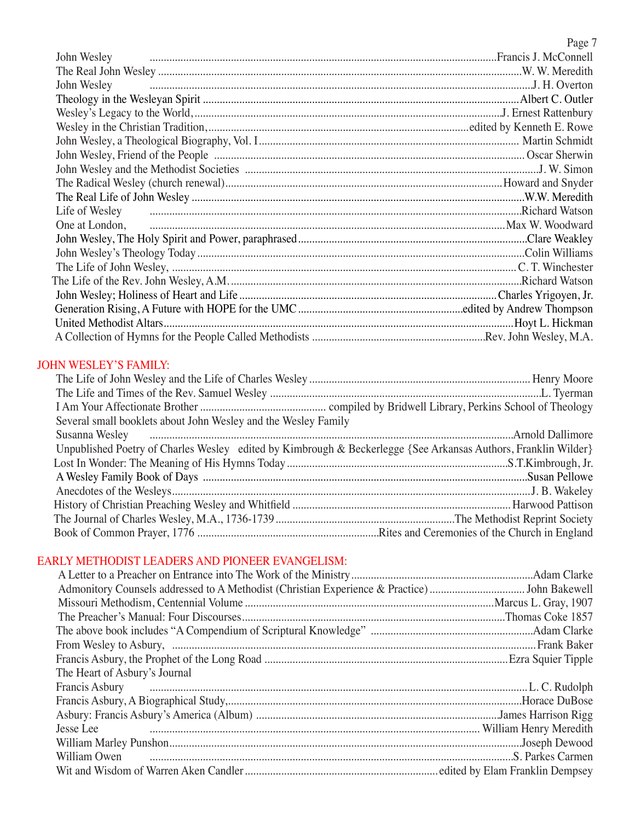|                | Page 7 |
|----------------|--------|
| John Wesley    |        |
|                |        |
| John Wesley    |        |
|                |        |
|                |        |
|                |        |
|                |        |
|                |        |
|                |        |
|                |        |
|                |        |
| Life of Wesley |        |
| One at London, |        |
|                |        |
|                |        |
|                |        |
|                |        |
|                |        |
|                |        |
|                |        |
|                |        |

# John Wesley's Family:

| Several small booklets about John Wesley and the Wesley Family                                                                                                                                                                      |  |
|-------------------------------------------------------------------------------------------------------------------------------------------------------------------------------------------------------------------------------------|--|
| Susanna Wesley <b>Constitution</b> and the material construction of the construction of the construction of the construction of the construction of the construction of the construction of the construction of the construction of |  |
| Unpublished Poetry of Charles Wesley edited by Kimbrough & Beckerlegge {See Arkansas Authors, Franklin Wilder}                                                                                                                      |  |
|                                                                                                                                                                                                                                     |  |
|                                                                                                                                                                                                                                     |  |
|                                                                                                                                                                                                                                     |  |
|                                                                                                                                                                                                                                     |  |
|                                                                                                                                                                                                                                     |  |
|                                                                                                                                                                                                                                     |  |

# EARLY METHODIST LEADERS AND PIONEER EVANGELISM:

| The Heart of Asbury's Journal                                                                                                                                                                                                        |  |
|--------------------------------------------------------------------------------------------------------------------------------------------------------------------------------------------------------------------------------------|--|
| Francis Asbury <i>and a communicant container a container and a container and container and container and container and container and container and container and container and container and container and container and contai</i> |  |
|                                                                                                                                                                                                                                      |  |
|                                                                                                                                                                                                                                      |  |
|                                                                                                                                                                                                                                      |  |
|                                                                                                                                                                                                                                      |  |
| William Owen <b>Figure 2018</b> Carmen Milliam Owen S. Parkes Carmen                                                                                                                                                                 |  |
|                                                                                                                                                                                                                                      |  |
|                                                                                                                                                                                                                                      |  |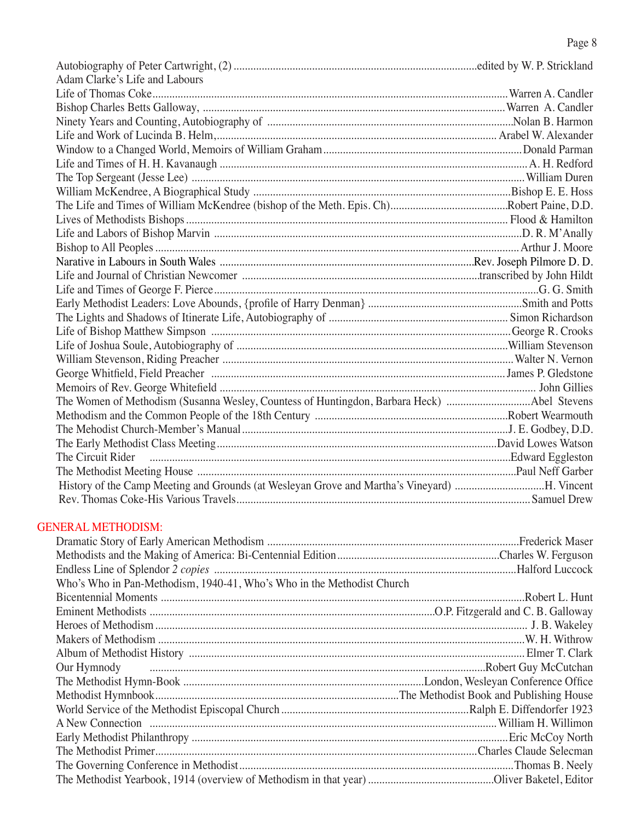| Adam Clarke's Life and Labours                                                               |  |
|----------------------------------------------------------------------------------------------|--|
|                                                                                              |  |
|                                                                                              |  |
|                                                                                              |  |
|                                                                                              |  |
|                                                                                              |  |
|                                                                                              |  |
|                                                                                              |  |
|                                                                                              |  |
|                                                                                              |  |
|                                                                                              |  |
|                                                                                              |  |
|                                                                                              |  |
|                                                                                              |  |
|                                                                                              |  |
|                                                                                              |  |
|                                                                                              |  |
|                                                                                              |  |
|                                                                                              |  |
|                                                                                              |  |
|                                                                                              |  |
|                                                                                              |  |
|                                                                                              |  |
| The Women of Methodism (Susanna Wesley, Countess of Huntingdon, Barbara Heck) Abel Stevens   |  |
|                                                                                              |  |
|                                                                                              |  |
|                                                                                              |  |
|                                                                                              |  |
|                                                                                              |  |
| History of the Camp Meeting and Grounds (at Wesleyan Grove and Martha's Vineyard) H. Vincent |  |
|                                                                                              |  |

# GENERAL METHODISM:

| Who's Who in Pan-Methodism, 1940-41, Who's Who in the Methodist Church                                                                                                                                                               |  |
|--------------------------------------------------------------------------------------------------------------------------------------------------------------------------------------------------------------------------------------|--|
|                                                                                                                                                                                                                                      |  |
|                                                                                                                                                                                                                                      |  |
|                                                                                                                                                                                                                                      |  |
|                                                                                                                                                                                                                                      |  |
|                                                                                                                                                                                                                                      |  |
| Our Hymnody <b>contract and the contract of the contract of the contract of the contract of the contract of the contract of the contract of the contract of the contract of the contract of the contract of the contract of the </b> |  |
|                                                                                                                                                                                                                                      |  |
|                                                                                                                                                                                                                                      |  |
|                                                                                                                                                                                                                                      |  |
|                                                                                                                                                                                                                                      |  |
|                                                                                                                                                                                                                                      |  |
|                                                                                                                                                                                                                                      |  |
|                                                                                                                                                                                                                                      |  |
|                                                                                                                                                                                                                                      |  |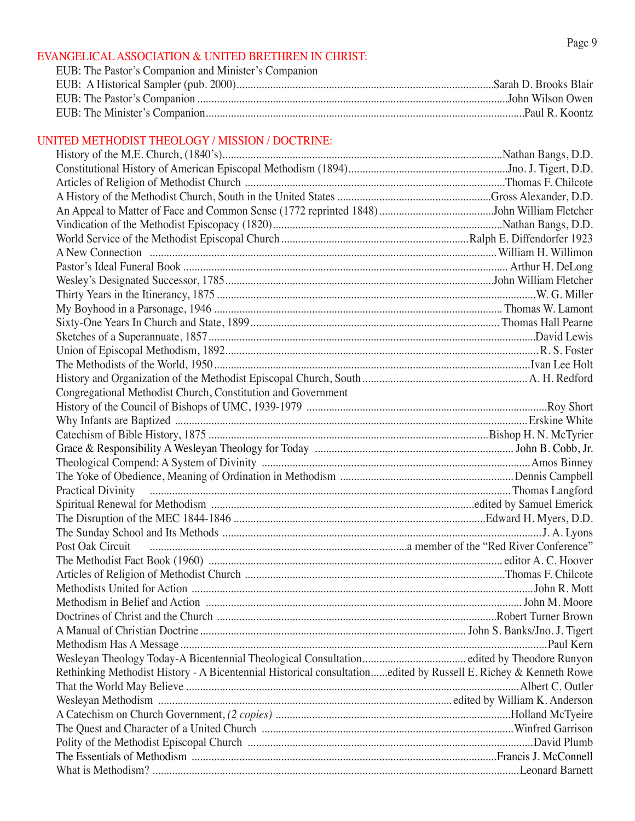#### EVANGELICAL ASSOCIATION & UNITED BRETHREN IN CHRIST:

| EUB: The Pastor's Companion and Minister's Companion |  |
|------------------------------------------------------|--|
|                                                      |  |
|                                                      |  |
|                                                      |  |

## UNITED METHODIST THEOLOGY / MISSION / DOCTRINE:

| Congregational Methodist Church, Constitution and Government                                                    |  |
|-----------------------------------------------------------------------------------------------------------------|--|
|                                                                                                                 |  |
|                                                                                                                 |  |
|                                                                                                                 |  |
|                                                                                                                 |  |
|                                                                                                                 |  |
|                                                                                                                 |  |
|                                                                                                                 |  |
|                                                                                                                 |  |
|                                                                                                                 |  |
|                                                                                                                 |  |
|                                                                                                                 |  |
|                                                                                                                 |  |
|                                                                                                                 |  |
|                                                                                                                 |  |
|                                                                                                                 |  |
|                                                                                                                 |  |
|                                                                                                                 |  |
|                                                                                                                 |  |
|                                                                                                                 |  |
|                                                                                                                 |  |
|                                                                                                                 |  |
| Rethinking Methodist History - A Bicentennial Historical consultationedited by Russell E. Richey & Kenneth Rowe |  |
|                                                                                                                 |  |
|                                                                                                                 |  |
|                                                                                                                 |  |
|                                                                                                                 |  |
|                                                                                                                 |  |
|                                                                                                                 |  |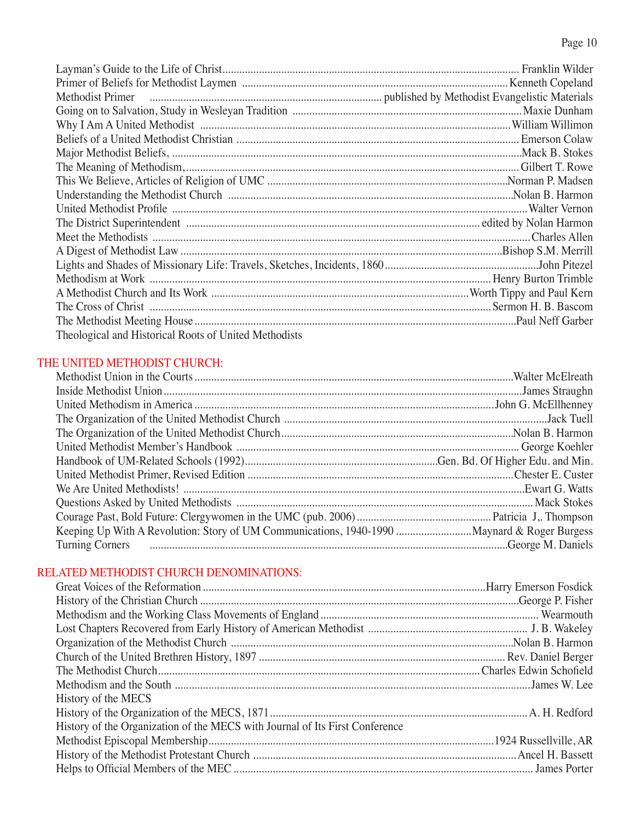| Theological and Historical Roots of United Methodists |  |
|-------------------------------------------------------|--|

# THE UNITED METHODIST CHURCH:

| Keeping Up With A Revolution: Story of UM Communications, 1940-1990  Maynard & Roger Burgess |  |
|----------------------------------------------------------------------------------------------|--|
|                                                                                              |  |
|                                                                                              |  |

# RELATED METHODIST CHURCH DENOMINATIONS:

| History of the MECS                                                          |  |
|------------------------------------------------------------------------------|--|
|                                                                              |  |
| History of the Organization of the MECS with Journal of Its First Conference |  |
|                                                                              |  |
|                                                                              |  |
|                                                                              |  |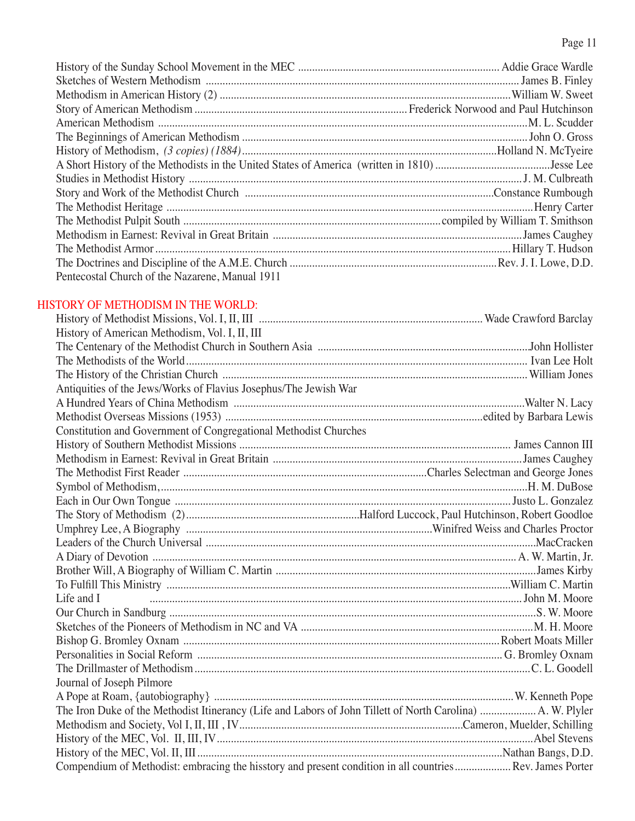# Page 11

| Pentecostal Church of the Nazarene, Manual 1911 |  |
|-------------------------------------------------|--|

# HISTORY OF METHODISM IN THE WORLD:

| History of American Methodism, Vol. I, II, III                                                            |  |
|-----------------------------------------------------------------------------------------------------------|--|
|                                                                                                           |  |
|                                                                                                           |  |
|                                                                                                           |  |
| Antiquities of the Jews/Works of Flavius Josephus/The Jewish War                                          |  |
|                                                                                                           |  |
|                                                                                                           |  |
| Constitution and Government of Congregational Methodist Churches                                          |  |
|                                                                                                           |  |
|                                                                                                           |  |
|                                                                                                           |  |
|                                                                                                           |  |
|                                                                                                           |  |
|                                                                                                           |  |
|                                                                                                           |  |
|                                                                                                           |  |
|                                                                                                           |  |
|                                                                                                           |  |
|                                                                                                           |  |
| Life and I                                                                                                |  |
|                                                                                                           |  |
|                                                                                                           |  |
|                                                                                                           |  |
|                                                                                                           |  |
|                                                                                                           |  |
| Journal of Joseph Pilmore                                                                                 |  |
|                                                                                                           |  |
|                                                                                                           |  |
|                                                                                                           |  |
|                                                                                                           |  |
|                                                                                                           |  |
| Compendium of Methodist: embracing the hisstory and present condition in all countries  Rev. James Porter |  |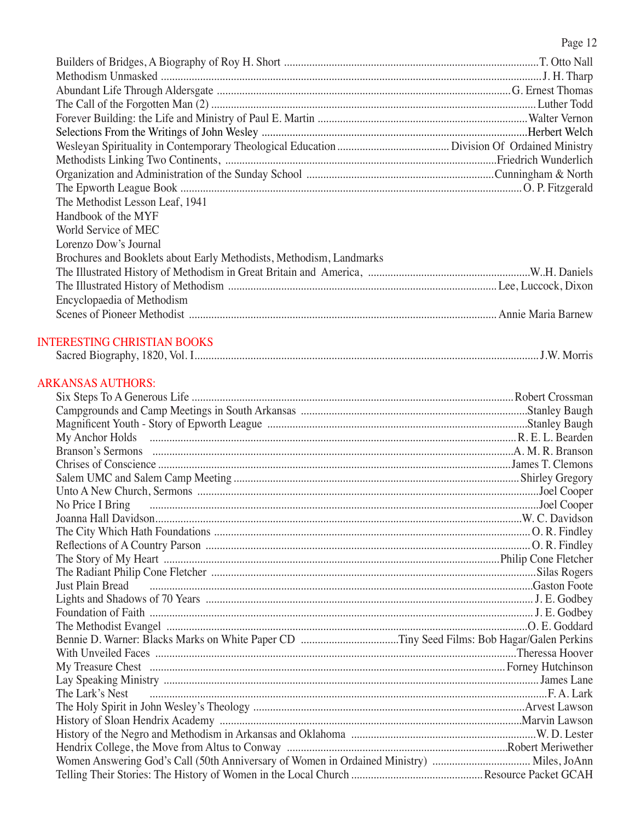Page 12

| The Methodist Lesson Leaf, 1941                                     |  |
|---------------------------------------------------------------------|--|
| Handbook of the MYF                                                 |  |
| World Service of MEC                                                |  |
| Lorenzo Dow's Journal                                               |  |
| Brochures and Booklets about Early Methodists, Methodism, Landmarks |  |
|                                                                     |  |
|                                                                     |  |
| Encyclopaedia of Methodism                                          |  |
|                                                                     |  |
|                                                                     |  |

# INTERESTING CHRISTIAN BOOKS

| Vol.<br>Sacred Biography, 1820.<br>$W_{\rm c}$ | - IVIOITIS |
|------------------------------------------------|------------|
|------------------------------------------------|------------|

# ARKANSAS AUTHORS:

| Just Plain Bread <i>manufacture and a content of the content of the content of the content of the content of the content of the content of the content of the content of the content of the content of the content of the conten</i> |  |
|--------------------------------------------------------------------------------------------------------------------------------------------------------------------------------------------------------------------------------------|--|
|                                                                                                                                                                                                                                      |  |
|                                                                                                                                                                                                                                      |  |
|                                                                                                                                                                                                                                      |  |
|                                                                                                                                                                                                                                      |  |
|                                                                                                                                                                                                                                      |  |
|                                                                                                                                                                                                                                      |  |
|                                                                                                                                                                                                                                      |  |
|                                                                                                                                                                                                                                      |  |
|                                                                                                                                                                                                                                      |  |
|                                                                                                                                                                                                                                      |  |
|                                                                                                                                                                                                                                      |  |
|                                                                                                                                                                                                                                      |  |
| Women Answering God's Call (50th Anniversary of Women in Ordained Ministry)  Miles, JoAnn                                                                                                                                            |  |
|                                                                                                                                                                                                                                      |  |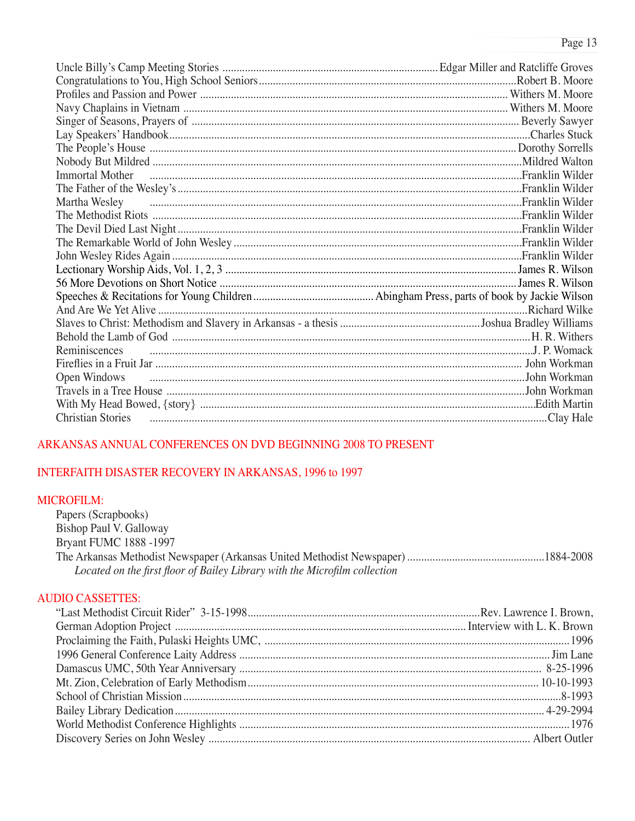| Immortal Mother Theorem and Mother Theorem and Milder |  |
|-------------------------------------------------------|--|
|                                                       |  |
| Martha Wesley                                         |  |
|                                                       |  |
|                                                       |  |
|                                                       |  |
|                                                       |  |
|                                                       |  |
|                                                       |  |
|                                                       |  |
|                                                       |  |
|                                                       |  |
|                                                       |  |
| Reminiscences                                         |  |
|                                                       |  |
| Open Windows                                          |  |
|                                                       |  |
|                                                       |  |
| <b>Christian Stories</b>                              |  |

## ARKANSAS ANNUAL CONFERENCES ON DVD BEGINNING 2008 TO PRESENT

## INTERFAITH DISASTER RECOVERY IN ARKANSAS, 1996 to 1997

## **MICROFILM:**

Papers (Scrapbooks) Bishop Paul V. Galloway **Bryant FUMC 1888 -1997** Located on the first floor of Bailey Library with the Microfilm collection

## **AUDIO CASSETTES:**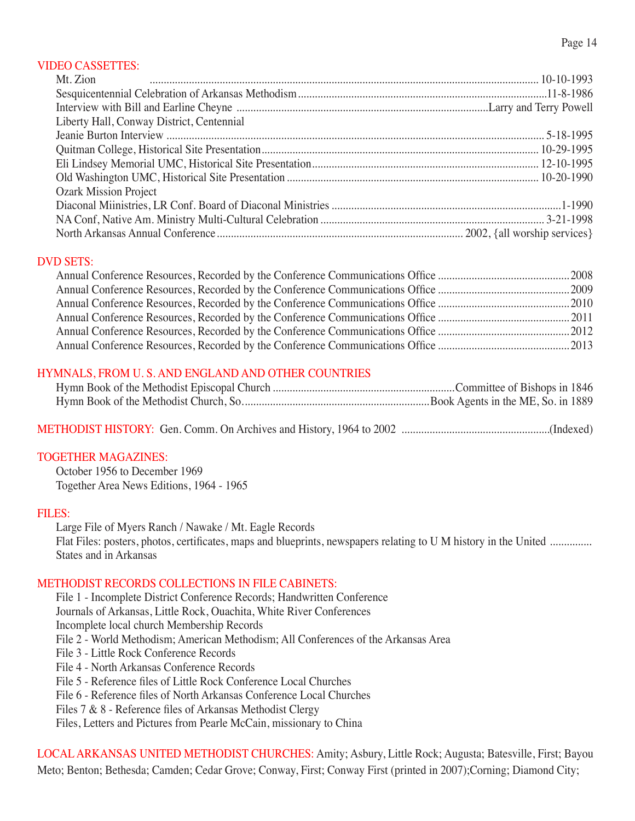## VIDEO CASSETTES:

| Mt. Zion                                  |  |
|-------------------------------------------|--|
|                                           |  |
|                                           |  |
| Liberty Hall, Conway District, Centennial |  |
|                                           |  |
|                                           |  |
|                                           |  |
|                                           |  |
| <b>Ozark Mission Project</b>              |  |
|                                           |  |
|                                           |  |
|                                           |  |

## DVD SETS:

## HYMNALS, FROM U. S. AND ENGLAND AND OTHER COUNTRIES

| Hymn Book of the Methodist Church, So |  |
|---------------------------------------|--|

METHODIST HISTORY: Gen. Comm. On Archives and History, 1964 to 2002 .....................................................(Indexed)

#### TOGETHER MAGAZINES:

 October 1956 to December 1969 Together Area News Editions, 1964 - 1965

#### FILES:

 Large File of Myers Ranch / Nawake / Mt. Eagle Records Flat Files: posters, photos, certificates, maps and blueprints, newspapers relating to U M history in the United ............... States and in Arkansas

#### METHODIST RECORDS COLLECTIONS IN FILE CABINETS:

File 1 - Incomplete District Conference Records; Handwritten Conference Journals of Arkansas, Little Rock, Ouachita, White River Conferences Incomplete local church Membership Records File 2 - World Methodism; American Methodism; All Conferences of the Arkansas Area File 3 - Little Rock Conference Records File 4 - North Arkansas Conference Records File 5 - Reference files of Little Rock Conference Local Churches File 6 - Reference files of North Arkansas Conference Local Churches Files 7 & 8 - Reference files of Arkansas Methodist Clergy Files, Letters and Pictures from Pearle McCain, missionary to China

LOCAL ARKANSAS UNITED METHODIST CHURCHES: Amity; Asbury, Little Rock; Augusta; Batesville, First; Bayou Meto; Benton; Bethesda; Camden; Cedar Grove; Conway, First; Conway First (printed in 2007);Corning; Diamond City;